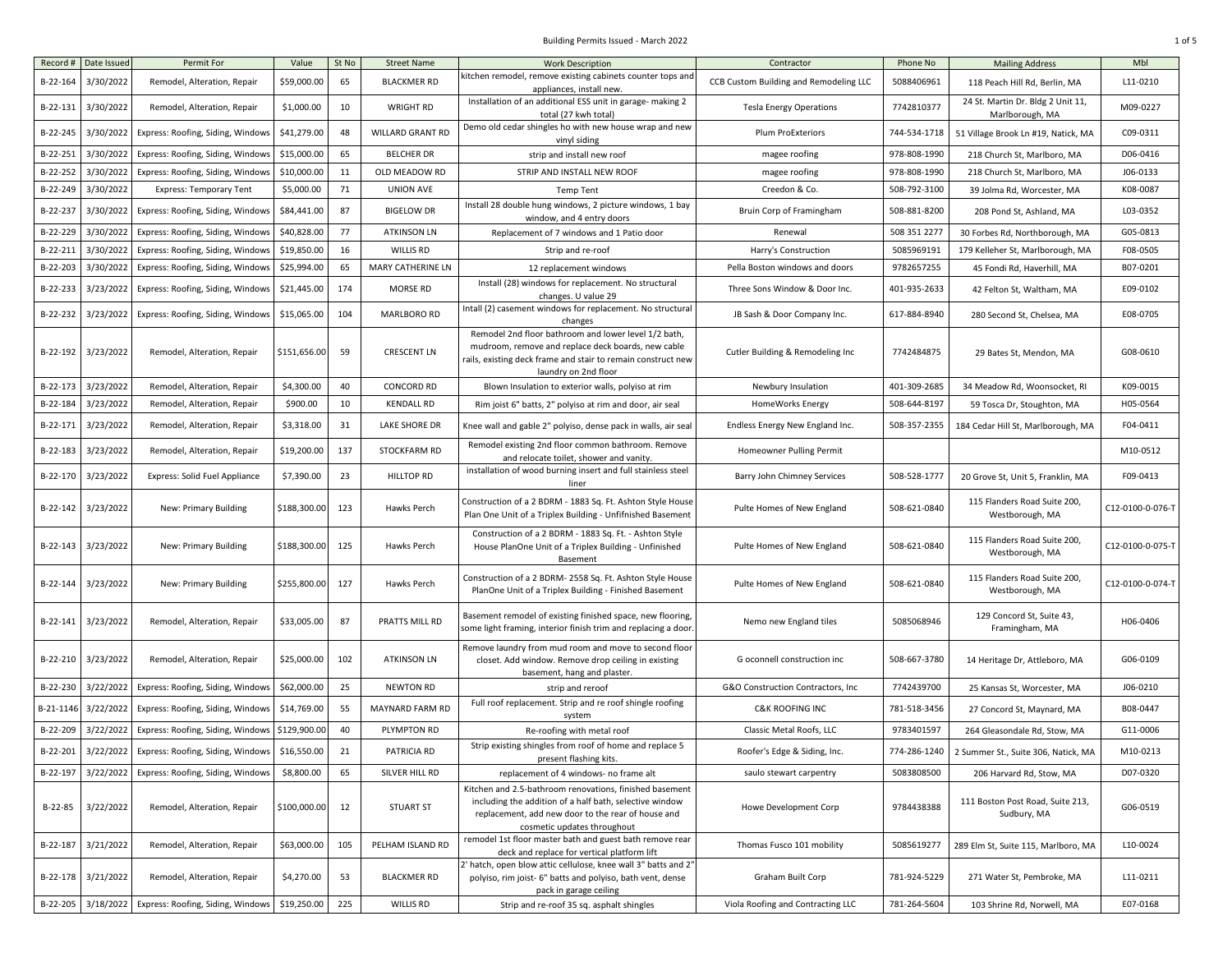| Record #  | Date Issued | Permit For                        | Value        | St No | <b>Street Name</b>      | <b>Work Description</b>                                                                                                                                                                                 | Contractor                             | Phone No     | <b>Mailing Address</b>                               | Mbl              |
|-----------|-------------|-----------------------------------|--------------|-------|-------------------------|---------------------------------------------------------------------------------------------------------------------------------------------------------------------------------------------------------|----------------------------------------|--------------|------------------------------------------------------|------------------|
| B-22-164  | 3/30/2022   | Remodel, Alteration, Repair       | \$59,000.00  | 65    | <b>BLACKMER RD</b>      | kitchen remodel, remove existing cabinets counter tops and<br>appliances, install new.                                                                                                                  | CCB Custom Building and Remodeling LLC | 5088406961   | 118 Peach Hill Rd, Berlin, MA                        | L11-0210         |
| B-22-131  | 3/30/2022   | Remodel, Alteration, Repair       | \$1,000.00   | 10    | <b>WRIGHT RD</b>        | Installation of an additional ESS unit in garage- making 2<br>total (27 kwh total)                                                                                                                      | <b>Tesla Energy Operations</b>         | 7742810377   | 24 St. Martin Dr. Bldg 2 Unit 11,<br>Marlborough, MA | M09-0227         |
| B-22-245  | 3/30/2022   | Express: Roofing, Siding, Windows | \$41,279.00  | 48    | <b>WILLARD GRANT RD</b> | Demo old cedar shingles ho with new house wrap and new<br>vinyl siding                                                                                                                                  | <b>Plum ProExteriors</b>               | 744-534-1718 | 51 Village Brook Ln #19, Natick, MA                  | C09-0311         |
| B-22-251  | 3/30/2022   | Express: Roofing, Siding, Windows | \$15,000.00  | 65    | <b>BELCHER DR</b>       | strip and install new roof                                                                                                                                                                              | magee roofing                          | 978-808-1990 | 218 Church St, Marlboro, MA                          | D06-0416         |
| B-22-252  | 3/30/2022   | Express: Roofing, Siding, Windows | \$10,000.00  | 11    | OLD MEADOW RD           | STRIP AND INSTALL NEW ROOF                                                                                                                                                                              | magee roofing                          | 978-808-1990 | 218 Church St, Marlboro, MA                          | J06-0133         |
| B-22-249  | 3/30/2022   | <b>Express: Temporary Tent</b>    | \$5,000.00   | 71    | <b>UNION AVE</b>        | <b>Temp Tent</b>                                                                                                                                                                                        | Creedon & Co.                          | 508-792-3100 | 39 Jolma Rd, Worcester, MA                           | K08-0087         |
| B-22-237  | 3/30/2022   | Express: Roofing, Siding, Windows | \$84,441.00  | 87    | <b>BIGELOW DR</b>       | Install 28 double hung windows, 2 picture windows, 1 bay<br>window, and 4 entry doors                                                                                                                   | Bruin Corp of Framingham               | 508-881-8200 | 208 Pond St, Ashland, MA                             | L03-0352         |
| B-22-229  | 3/30/2022   | Express: Roofing, Siding, Windows | \$40,828.00  | 77    | <b>ATKINSON LN</b>      | Replacement of 7 windows and 1 Patio door                                                                                                                                                               | Renewal                                | 508 351 2277 | 30 Forbes Rd, Northborough, MA                       | G05-0813         |
| B-22-211  | 3/30/2022   | Express: Roofing, Siding, Windows | \$19,850.00  | 16    | <b>WILLIS RD</b>        | Strip and re-roof                                                                                                                                                                                       | Harry's Construction                   | 5085969191   | 179 Kelleher St, Marlborough, MA                     | F08-0505         |
| B-22-203  | 3/30/2022   | Express: Roofing, Siding, Windows | \$25,994.00  | 65    | MARY CATHERINE LN       | 12 replacement windows                                                                                                                                                                                  | Pella Boston windows and doors         | 9782657255   | 45 Fondi Rd, Haverhill, MA                           | B07-0201         |
| B-22-233  | 3/23/2022   | Express: Roofing, Siding, Windows | \$21,445.00  | 174   | <b>MORSE RD</b>         | Install (28) windows for replacement. No structural<br>changes. U value 29                                                                                                                              | Three Sons Window & Door Inc.          | 401-935-2633 | 42 Felton St, Waltham, MA                            | E09-0102         |
| B-22-232  | 3/23/2022   | Express: Roofing, Siding, Windows | \$15,065.00  | 104   | MARLBORO RD             | Intall (2) casement windows for replacement. No structural<br>changes                                                                                                                                   | JB Sash & Door Company Inc.            | 617-884-8940 | 280 Second St, Chelsea, MA                           | E08-0705         |
| B-22-192  | 3/23/2022   | Remodel, Alteration, Repair       | \$151,656.00 | 59    | <b>CRESCENT LN</b>      | Remodel 2nd floor bathroom and lower level 1/2 bath,<br>mudroom, remove and replace deck boards, new cable<br>rails, existing deck frame and stair to remain construct new<br>laundry on 2nd floor      | Cutler Building & Remodeling Inc       | 7742484875   | 29 Bates St, Mendon, MA                              | G08-0610         |
| B-22-173  | 3/23/2022   | Remodel, Alteration, Repair       | \$4,300.00   | 40    | CONCORD RD              | Blown Insulation to exterior walls, polyiso at rim                                                                                                                                                      | Newbury Insulation                     | 401-309-2685 | 34 Meadow Rd, Woonsocket, RI                         | K09-0015         |
| B-22-184  | 3/23/2022   | Remodel, Alteration, Repair       | \$900.00     | 10    | <b>KENDALL RD</b>       | Rim joist 6" batts, 2" polyiso at rim and door, air seal                                                                                                                                                | <b>HomeWorks Energy</b>                | 508-644-8197 | 59 Tosca Dr, Stoughton, MA                           | H05-0564         |
| B-22-171  | 3/23/2022   | Remodel, Alteration, Repair       | \$3,318.00   | 31    | LAKE SHORE DR           | Knee wall and gable 2" polyiso, dense pack in walls, air seal                                                                                                                                           | Endless Energy New England Inc.        | 508-357-2355 | 184 Cedar Hill St, Marlborough, MA                   | F04-0411         |
| B-22-183  | 3/23/2022   | Remodel, Alteration, Repair       | \$19,200.00  | 137   | STOCKFARM RD            | Remodel existing 2nd floor common bathroom. Remove<br>and relocate toilet, shower and vanity.                                                                                                           | Homeowner Pulling Permit               |              |                                                      | M10-0512         |
| B-22-170  | 3/23/2022   | Express: Solid Fuel Appliance     | \$7,390.00   | 23    | HILLTOP RD              | installation of wood burning insert and full stainless steel<br>liner                                                                                                                                   | Barry John Chimney Services            | 508-528-1777 | 20 Grove St, Unit 5, Franklin, MA                    | F09-0413         |
| B-22-142  | 3/23/2022   | New: Primary Building             | \$188,300.00 | 123   | Hawks Perch             | Construction of a 2 BDRM - 1883 Sq. Ft. Ashton Style House<br>Plan One Unit of a Triplex Building - Unfifnished Basement                                                                                | Pulte Homes of New England             | 508-621-0840 | 115 Flanders Road Suite 200,<br>Westborough, MA      | C12-0100-0-076-T |
| B-22-143  | 3/23/2022   | New: Primary Building             | \$188,300.00 | 125   | Hawks Perch             | Construction of a 2 BDRM - 1883 Sq. Ft. - Ashton Style<br>House PlanOne Unit of a Triplex Building - Unfinished<br>Basement                                                                             | Pulte Homes of New England             | 508-621-0840 | 115 Flanders Road Suite 200,<br>Westborough, MA      | C12-0100-0-075-T |
| B-22-144  | 3/23/2022   | New: Primary Building             | \$255,800.00 | 127   | Hawks Perch             | Construction of a 2 BDRM- 2558 Sq. Ft. Ashton Style House<br>PlanOne Unit of a Triplex Building - Finished Basement                                                                                     | Pulte Homes of New England             | 508-621-0840 | 115 Flanders Road Suite 200,<br>Westborough, MA      | C12-0100-0-074-T |
| B-22-141  | 3/23/2022   | Remodel, Alteration, Repair       | \$33,005.00  | 87    | PRATTS MILL RD          | Basement remodel of existing finished space, new flooring,<br>some light framing, interior finish trim and replacing a door                                                                             | Nemo new England tiles                 | 5085068946   | 129 Concord St, Suite 43,<br>Framingham, MA          | H06-0406         |
| B-22-210  | 3/23/2022   | Remodel, Alteration, Repair       | \$25,000.00  | 102   | <b>ATKINSON LN</b>      | Remove laundry from mud room and move to second floor<br>closet. Add window. Remove drop ceiling in existing<br>basement, hang and plaster.                                                             | G oconnell construction inc            | 508-667-3780 | 14 Heritage Dr, Attleboro, MA                        | G06-0109         |
| B-22-230  | 3/22/2022   | Express: Roofing, Siding, Windows | \$62,000.00  | 25    | NEWTON RD               | strip and reroof                                                                                                                                                                                        | G&O Construction Contractors, Inc      | 7742439700   | 25 Kansas St, Worcester, MA                          | J06-0210         |
| B-21-1146 | 3/22/2022   | Express: Roofing, Siding, Windows | \$14,769.00  | 55    | MAYNARD FARM RD         | Full roof replacement. Strip and re roof shingle roofing<br>system                                                                                                                                      | <b>C&amp;K ROOFING INC</b>             | 781-518-3456 | 27 Concord St, Maynard, MA                           | B08-0447         |
| B-22-209  | 3/22/2022   | Express: Roofing, Siding, Windows | \$129,900.00 | 40    | PLYMPTON RD             | Re-roofing with metal roof                                                                                                                                                                              | Classic Metal Roofs, LLC               | 9783401597   | 264 Gleasondale Rd, Stow, MA                         | G11-0006         |
| B-22-201  | 3/22/2022   | Express: Roofing, Siding, Windows | \$16,550.00  | 21    | PATRICIA RD             | Strip existing shingles from roof of home and replace 5<br>present flashing kits.                                                                                                                       | Roofer's Edge & Siding, Inc.           | 774-286-1240 | 2 Summer St., Suite 306, Natick, MA                  | M10-0213         |
| B-22-197  | 3/22/2022   | Express: Roofing, Siding, Windows | \$8,800.00   | 65    | SILVER HILL RD          | replacement of 4 windows- no frame alt                                                                                                                                                                  | saulo stewart carpentry                | 5083808500   | 206 Harvard Rd, Stow, MA                             | D07-0320         |
| B-22-85   | 3/22/2022   | Remodel, Alteration, Repair       | \$100,000.00 | 12    | <b>STUART ST</b>        | Kitchen and 2.5-bathroom renovations, finished basement<br>including the addition of a half bath, selective window<br>replacement, add new door to the rear of house and<br>cosmetic updates throughout | Howe Development Corp                  | 9784438388   | 111 Boston Post Road, Suite 213,<br>Sudbury, MA      | G06-0519         |
| B-22-187  | 3/21/2022   | Remodel, Alteration, Repair       | \$63,000.00  | 105   | PELHAM ISLAND RD        | remodel 1st floor master bath and guest bath remove rear<br>deck and replace for vertical platform lift                                                                                                 | Thomas Fusco 101 mobility              | 5085619277   | 289 Elm St, Suite 115, Marlboro, MA                  | L10-0024         |
| B-22-178  | 3/21/2022   | Remodel, Alteration, Repair       | \$4,270.00   | 53    | <b>BLACKMER RD</b>      | ' hatch, open blow attic cellulose, knee wall 3" batts and 2"<br>polyiso, rim joist- 6" batts and polyiso, bath vent, dense<br>pack in garage ceiling                                                   | Graham Built Corp                      | 781-924-5229 | 271 Water St, Pembroke, MA                           | L11-0211         |
| B-22-205  | 3/18/2022   | Express: Roofing, Siding, Windows | \$19,250.00  | 225   | WILLIS RD               | Strip and re-roof 35 sq. asphalt shingles                                                                                                                                                               | Viola Roofing and Contracting LLC      | 781-264-5604 | 103 Shrine Rd, Norwell, MA                           | E07-0168         |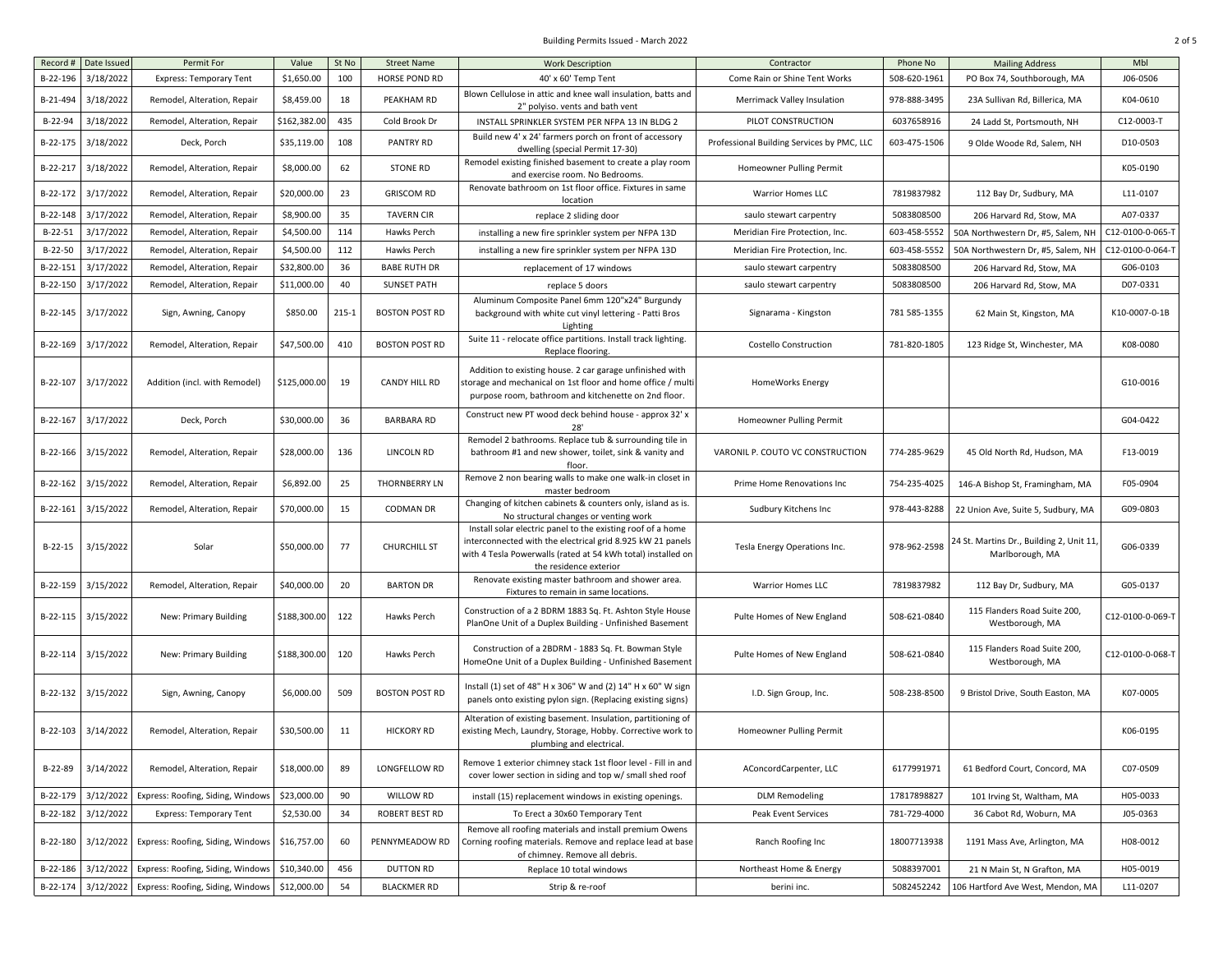| Record #  | Date Issued | Permit For                        | Value        | St No     | <b>Street Name</b>    | <b>Work Description</b>                                                                                                                                                                                             | Contractor                                 | Phone No     | <b>Mailing Address</b>                                      | Mbl              |
|-----------|-------------|-----------------------------------|--------------|-----------|-----------------------|---------------------------------------------------------------------------------------------------------------------------------------------------------------------------------------------------------------------|--------------------------------------------|--------------|-------------------------------------------------------------|------------------|
| B-22-196  | 3/18/2022   | <b>Express: Temporary Tent</b>    | \$1,650.00   | 100       | <b>HORSE POND RD</b>  | 40' x 60' Temp Tent                                                                                                                                                                                                 | Come Rain or Shine Tent Works              | 508-620-1961 | PO Box 74, Southborough, MA                                 | J06-0506         |
| B-21-494  | 3/18/2022   | Remodel, Alteration, Repair       | \$8,459.00   | 18        | PEAKHAM RD            | Blown Cellulose in attic and knee wall insulation, batts and<br>2" polyiso. vents and bath vent                                                                                                                     | Merrimack Valley Insulation                | 978-888-3495 | 23A Sullivan Rd, Billerica, MA                              | K04-0610         |
| B-22-94   | 3/18/2022   | Remodel, Alteration, Repair       | \$162,382.00 | 435       | Cold Brook Dr         | INSTALL SPRINKLER SYSTEM PER NFPA 13 IN BLDG 2                                                                                                                                                                      | PILOT CONSTRUCTION                         | 6037658916   | 24 Ladd St, Portsmouth, NH                                  | C12-0003-T       |
| B-22-175  | 3/18/2022   | Deck, Porch                       | \$35,119.00  | 108       | PANTRY RD             | Build new 4' x 24' farmers porch on front of accessory<br>dwelling (special Permit 17-30)                                                                                                                           | Professional Building Services by PMC, LLC | 603-475-1506 | 9 Olde Woode Rd. Salem, NH                                  | D10-0503         |
| B-22-217  | 3/18/2022   | Remodel, Alteration, Repair       | \$8,000.00   | 62        | <b>STONE RD</b>       | Remodel existing finished basement to create a play room<br>and exercise room. No Bedrooms.                                                                                                                         | Homeowner Pulling Permit                   |              |                                                             | K05-0190         |
| B-22-172  | 3/17/2022   | Remodel, Alteration, Repair       | \$20,000.00  | 23        | <b>GRISCOM RD</b>     | Renovate bathroom on 1st floor office. Fixtures in same<br>location                                                                                                                                                 | Warrior Homes LLC                          | 7819837982   | 112 Bay Dr, Sudbury, MA                                     | L11-0107         |
| B-22-148  | 3/17/2022   | Remodel, Alteration, Repair       | \$8,900.00   | 35        | <b>TAVERN CIR</b>     | replace 2 sliding door                                                                                                                                                                                              | saulo stewart carpentry                    | 5083808500   | 206 Harvard Rd, Stow, MA                                    | A07-0337         |
| $B-22-51$ | 3/17/2022   | Remodel, Alteration, Repair       | \$4,500.00   | 114       | Hawks Perch           | installing a new fire sprinkler system per NFPA 13D                                                                                                                                                                 | Meridian Fire Protection, Inc.             | 603-458-5552 | 50A Northwestern Dr, #5, Salem, NH                          | C12-0100-0-065-1 |
| $B-22-50$ | 3/17/2022   | Remodel, Alteration, Repair       | \$4,500.00   | 112       | Hawks Perch           | installing a new fire sprinkler system per NFPA 13D                                                                                                                                                                 | Meridian Fire Protection, Inc.             | 603-458-5552 | 50A Northwestern Dr, #5, Salem, NH                          | C12-0100-0-064-7 |
| B-22-151  | 3/17/2022   | Remodel, Alteration, Repair       | \$32,800.00  | 36        | <b>BABE RUTH DR</b>   | replacement of 17 windows                                                                                                                                                                                           | saulo stewart carpentry                    | 5083808500   | 206 Harvard Rd, Stow, MA                                    | G06-0103         |
| B-22-150  | 3/17/2022   | Remodel, Alteration, Repair       | \$11,000.00  | 40        | <b>SUNSET PATH</b>    | replace 5 doors                                                                                                                                                                                                     | saulo stewart carpentry                    | 5083808500   | 206 Harvard Rd, Stow, MA                                    | D07-0331         |
| B-22-145  | 3/17/2022   | Sign, Awning, Canopy              | \$850.00     | $215 - 1$ | <b>BOSTON POST RD</b> | Aluminum Composite Panel 6mm 120"x24" Burgundy<br>background with white cut vinyl lettering - Patti Bros<br>Lighting                                                                                                | Signarama - Kingston                       | 781 585-1355 | 62 Main St, Kingston, MA                                    | K10-0007-0-1B    |
| B-22-169  | 3/17/2022   | Remodel, Alteration, Repair       | \$47,500.00  | 410       | <b>BOSTON POST RD</b> | Suite 11 - relocate office partitions. Install track lighting.<br>Replace flooring.                                                                                                                                 | <b>Costello Construction</b>               | 781-820-1805 | 123 Ridge St, Winchester, MA                                | K08-0080         |
| B-22-107  | 3/17/2022   | Addition (incl. with Remodel)     | \$125,000.00 | 19        | CANDY HILL RD         | Addition to existing house. 2 car garage unfinished with<br>storage and mechanical on 1st floor and home office / multi<br>purpose room, bathroom and kitchenette on 2nd floor.                                     | HomeWorks Energy                           |              |                                                             | G10-0016         |
| B-22-167  | 3/17/2022   | Deck, Porch                       | \$30,000.00  | 36        | <b>BARBARA RD</b>     | Construct new PT wood deck behind house - approx 32' x<br>28'                                                                                                                                                       | Homeowner Pulling Permit                   |              |                                                             | G04-0422         |
| B-22-166  | 3/15/2022   | Remodel, Alteration, Repair       | \$28,000.00  | 136       | LINCOLN RD            | Remodel 2 bathrooms. Replace tub & surrounding tile in<br>bathroom #1 and new shower, toilet, sink & vanity and<br>floor.                                                                                           | VARONIL P. COUTO VC CONSTRUCTION           | 774-285-9629 | 45 Old North Rd, Hudson, MA                                 | F13-0019         |
| B-22-162  | 3/15/2022   | Remodel, Alteration, Repair       | \$6,892.00   | 25        | <b>THORNBERRY LN</b>  | Remove 2 non bearing walls to make one walk-in closet in<br>master bedroom                                                                                                                                          | Prime Home Renovations Inc                 | 754-235-4025 | 146-A Bishop St, Framingham, MA                             | F05-0904         |
| B-22-161  | 3/15/2022   | Remodel, Alteration, Repair       | \$70,000.00  | 15        | <b>CODMAN DR</b>      | Changing of kitchen cabinets & counters only, island as is.<br>No structural changes or venting work                                                                                                                | Sudbury Kitchens Inc                       | 978-443-8288 | 22 Union Ave, Suite 5, Sudbury, MA                          | G09-0803         |
| $B-22-15$ | 3/15/2022   | Solar                             | \$50,000.00  | 77        | <b>CHURCHILL ST</b>   | Install solar electric panel to the existing roof of a home<br>interconnected with the electrical grid 8.925 kW 21 panels<br>with 4 Tesla Powerwalls (rated at 54 kWh total) installed on<br>the residence exterior | Tesla Energy Operations Inc.               | 978-962-2598 | 24 St. Martins Dr., Building 2, Unit 11,<br>Marlborough, MA | G06-0339         |
| B-22-159  | 3/15/2022   | Remodel, Alteration, Repair       | \$40,000.00  | 20        | <b>BARTON DR</b>      | Renovate existing master bathroom and shower area.<br>Fixtures to remain in same locations.                                                                                                                         | <b>Warrior Homes LLC</b>                   | 7819837982   | 112 Bay Dr, Sudbury, MA                                     | G05-0137         |
| B-22-115  | 3/15/2022   | New: Primary Building             | \$188,300.00 | 122       | Hawks Perch           | Construction of a 2 BDRM 1883 Sq. Ft. Ashton Style House<br>PlanOne Unit of a Duplex Building - Unfinished Basement                                                                                                 | Pulte Homes of New England                 | 508-621-0840 | 115 Flanders Road Suite 200,<br>Westborough, MA             | C12-0100-0-069-T |
| B-22-114  | 3/15/2022   | New: Primary Building             | \$188,300.00 | 120       | Hawks Perch           | Construction of a 2BDRM - 1883 Sq. Ft. Bowman Style<br>HomeOne Unit of a Duplex Building - Unfinished Basement                                                                                                      | Pulte Homes of New England                 | 508-621-0840 | 115 Flanders Road Suite 200,<br>Westborough, MA             | C12-0100-0-068-T |
| B-22-132  | 3/15/2022   | Sign, Awning, Canopy              | \$6,000.00   | 509       | <b>BOSTON POST RD</b> | Install (1) set of 48" H x 306" W and (2) 14" H x 60" W sign<br>panels onto existing pylon sign. (Replacing existing signs)                                                                                         | I.D. Sign Group, Inc.                      | 508-238-8500 | 9 Bristol Drive, South Easton, MA                           | K07-0005         |
| B-22-103  | 3/14/2022   | Remodel, Alteration, Repair       | \$30,500.00  | 11        | HICKORY RD            | Alteration of existing basement. Insulation, partitioning of<br>existing Mech, Laundry, Storage, Hobby. Corrective work to<br>plumbing and electrical.                                                              | Homeowner Pulling Permit                   |              |                                                             | K06-0195         |
| B-22-89   | 3/14/2022   | Remodel, Alteration, Repair       | \$18,000.00  | 89        | LONGFELLOW RD         | Remove 1 exterior chimney stack 1st floor level - Fill in and<br>cover lower section in siding and top w/ small shed roof                                                                                           | AConcordCarpenter, LLC                     | 6177991971   | 61 Bedford Court, Concord, MA                               | C07-0509         |
| B-22-179  | 3/12/2022   | Express: Roofing, Siding, Window  | \$23,000.00  | 90        | WILLOW RD             | install (15) replacement windows in existing openings.                                                                                                                                                              | <b>DLM Remodeling</b>                      | 17817898827  | 101 Irving St, Waltham, MA                                  | H05-0033         |
| B-22-182  | 3/12/2022   | <b>Express: Temporary Tent</b>    | \$2,530.00   | 34        | ROBERT BEST RD        | To Erect a 30x60 Temporary Tent                                                                                                                                                                                     | Peak Event Services                        | 781-729-4000 | 36 Cabot Rd, Woburn, MA                                     | J05-0363         |
| B-22-180  | 3/12/2022   | Express: Roofing, Siding, Windows | \$16,757.00  | 60        | PENNYMEADOW RD        | Remove all roofing materials and install premium Owens<br>Corning roofing materials. Remove and replace lead at base<br>of chimney. Remove all debris.                                                              | Ranch Roofing Inc                          | 18007713938  | 1191 Mass Ave, Arlington, MA                                | H08-0012         |
| B-22-186  | 3/12/2022   | Express: Roofing, Siding, Windows | \$10,340.00  | 456       | DUTTON RD             | Replace 10 total windows                                                                                                                                                                                            | Northeast Home & Energy                    | 5088397001   | 21 N Main St, N Grafton, MA                                 | H05-0019         |
| B-22-174  | 3/12/2022   | Express: Roofing, Siding, Windows | \$12,000.00  | 54        | <b>BLACKMER RD</b>    | Strip & re-roof                                                                                                                                                                                                     | berini inc.                                | 5082452242   | 106 Hartford Ave West, Mendon, MA                           | L11-0207         |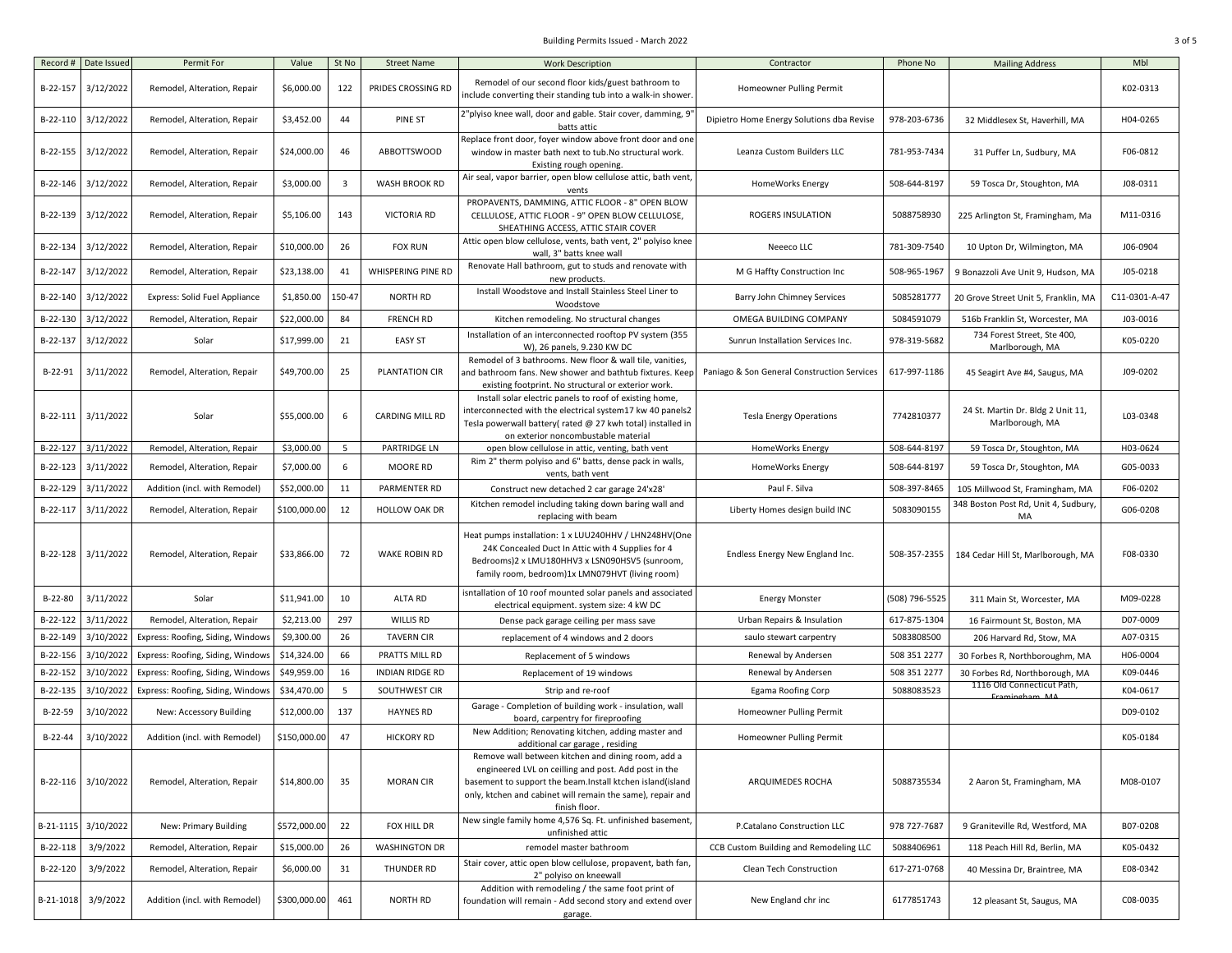## Building Permits Issued - March 2022 3 of 5

| Record #  | Date Issued         | Permit For                           | Value        | St No                   | <b>Street Name</b>     | <b>Work Description</b>                                                                                                                                                                                                                                                                   | Contractor                                  | Phone No       | <b>Mailing Address</b>                               | Mbl           |
|-----------|---------------------|--------------------------------------|--------------|-------------------------|------------------------|-------------------------------------------------------------------------------------------------------------------------------------------------------------------------------------------------------------------------------------------------------------------------------------------|---------------------------------------------|----------------|------------------------------------------------------|---------------|
| B-22-157  | 3/12/2022           | Remodel, Alteration, Repair          | \$6,000.00   | 122                     | PRIDES CROSSING RD     | Remodel of our second floor kids/guest bathroom to<br>include converting their standing tub into a walk-in shower                                                                                                                                                                         | Homeowner Pulling Permit                    |                |                                                      | K02-0313      |
| B-22-110  | 3/12/2022           | Remodel, Alteration, Repair          | \$3,452.00   | 44                      | PINE ST                | 2"plyiso knee wall, door and gable. Stair cover, damming, 9<br>batts attic                                                                                                                                                                                                                | Dipietro Home Energy Solutions dba Revise   | 978-203-6736   | 32 Middlesex St, Haverhill, MA                       | H04-0265      |
| B-22-155  | 3/12/2022           | Remodel, Alteration, Repair          | \$24,000.00  | 46                      | ABBOTTSWOOD            | Replace front door, foyer window above front door and one<br>window in master bath next to tub. No structural work.<br>Existing rough opening.                                                                                                                                            | Leanza Custom Builders LLC                  | 781-953-7434   | 31 Puffer Ln, Sudbury, MA                            | F06-0812      |
| B-22-146  | 3/12/2022           | Remodel, Alteration, Repair          | \$3,000.00   | $\overline{\mathbf{3}}$ | WASH BROOK RD          | Air seal, vapor barrier, open blow cellulose attic, bath vent,<br>vents                                                                                                                                                                                                                   | HomeWorks Energy                            | 508-644-8197   | 59 Tosca Dr, Stoughton, MA                           | J08-0311      |
| B-22-139  | 3/12/2022           | Remodel, Alteration, Repair          | \$5,106.00   | 143                     | <b>VICTORIA RD</b>     | PROPAVENTS, DAMMING, ATTIC FLOOR - 8" OPEN BLOW<br>CELLULOSE, ATTIC FLOOR - 9" OPEN BLOW CELLULOSE,<br>SHEATHING ACCESS, ATTIC STAIR COVER                                                                                                                                                | ROGERS INSULATION                           | 5088758930     | 225 Arlington St, Framingham, Ma                     | M11-0316      |
| B-22-134  | 3/12/2022           | Remodel, Alteration, Repair          | \$10,000.00  | 26                      | <b>FOX RUN</b>         | Attic open blow cellulose, vents, bath vent, 2" polyiso knee<br>wall, 3" batts knee wall                                                                                                                                                                                                  | Neeeco LLC                                  | 781-309-7540   | 10 Upton Dr, Wilmington, MA                          | J06-0904      |
| B-22-147  | 3/12/2022           | Remodel, Alteration, Repair          | \$23,138.00  | 41                      | WHISPERING PINE RD     | Renovate Hall bathroom, gut to studs and renovate with<br>new products.                                                                                                                                                                                                                   | M G Haffty Construction Inc                 | 508-965-1967   | 9 Bonazzoli Ave Unit 9, Hudson, MA                   | J05-0218      |
| B-22-140  | 3/12/2022           | <b>Express: Solid Fuel Appliance</b> | \$1,850.00   | 150-47                  | <b>NORTH RD</b>        | Install Woodstove and Install Stainless Steel Liner to<br>Woodstove                                                                                                                                                                                                                       | Barry John Chimney Services                 | 5085281777     | 20 Grove Street Unit 5, Franklin, MA                 | C11-0301-A-47 |
| B-22-130  | 3/12/2022           | Remodel, Alteration, Repair          | \$22,000.00  | 84                      | <b>FRENCH RD</b>       | Kitchen remodeling. No structural changes                                                                                                                                                                                                                                                 | OMEGA BUILDING COMPANY                      | 5084591079     | 516b Franklin St, Worcester, MA                      | J03-0016      |
| B-22-137  | 3/12/2022           | Solar                                | \$17,999.00  | 21                      | <b>EASY ST</b>         | Installation of an interconnected rooftop PV system (355<br>W), 26 panels, 9.230 KW DC                                                                                                                                                                                                    | Sunrun Installation Services Inc.           | 978-319-5682   | 734 Forest Street, Ste 400,<br>Marlborough, MA       | K05-0220      |
| B-22-91   | 3/11/2022           | Remodel, Alteration, Repair          | \$49,700.00  | 25                      | PLANTATION CIR         | Remodel of 3 bathrooms. New floor & wall tile, vanities,<br>and bathroom fans. New shower and bathtub fixtures. Keep<br>existing footprint. No structural or exterior work.                                                                                                               | Paniago & Son General Construction Services | 617-997-1186   | 45 Seagirt Ave #4, Saugus, MA                        | J09-0202      |
| B-22-111  | 3/11/2022           | Solar                                | \$55,000.00  | 6                       | CARDING MILL RD        | Install solar electric panels to roof of existing home,<br>interconnected with the electrical system17 kw 40 panels2<br>Tesla powerwall battery(rated @ 27 kwh total) installed in<br>on exterior noncombustable material                                                                 | <b>Tesla Energy Operations</b>              | 7742810377     | 24 St. Martin Dr. Bldg 2 Unit 11,<br>Marlborough, MA | L03-0348      |
| B-22-127  | 3/11/2022           | Remodel, Alteration, Repair          | \$3,000.00   | - 5                     | PARTRIDGE LN           | open blow cellulose in attic, venting, bath vent                                                                                                                                                                                                                                          | HomeWorks Energy                            | 508-644-8197   | 59 Tosca Dr, Stoughton, MA                           | H03-0624      |
| B-22-123  | 3/11/2022           | Remodel, Alteration, Repair          | \$7,000.00   | 6                       | MOORE RD               | Rim 2" therm polyiso and 6" batts, dense pack in walls,<br>vents, bath vent                                                                                                                                                                                                               | HomeWorks Energy                            | 508-644-8197   | 59 Tosca Dr, Stoughton, MA                           | G05-0033      |
| B-22-129  | 3/11/2022           | Addition (incl. with Remodel)        | \$52,000.00  | 11                      | PARMENTER RD           | Construct new detached 2 car garage 24'x28'                                                                                                                                                                                                                                               | Paul F. Silva                               | 508-397-8465   | 105 Millwood St, Framingham, MA                      | F06-0202      |
| B-22-117  | 3/11/2022           | Remodel, Alteration, Repair          | \$100,000.00 | 12                      | HOLLOW OAK DR          | Kitchen remodel including taking down baring wall and<br>replacing with beam                                                                                                                                                                                                              | Liberty Homes design build INC              | 5083090155     | 348 Boston Post Rd, Unit 4, Sudbury,<br>MA           | G06-0208      |
| B-22-128  | 3/11/2022           | Remodel, Alteration, Repair          | \$33,866.00  | 72                      | <b>WAKE ROBIN RD</b>   | Heat pumps installation: 1 x LUU240HHV / LHN248HV(One<br>24K Concealed Duct In Attic with 4 Supplies for 4<br>Bedrooms)2 x LMU180HHV3 x LSN090HSV5 (sunroom,<br>family room, bedroom)1x LMN079HVT (living room)                                                                           | Endless Energy New England Inc.             | 508-357-2355   | 184 Cedar Hill St, Marlborough, MA                   | F08-0330      |
| B-22-80   | 3/11/2022           | Solar                                | \$11,941.00  | 10                      | ALTA RD                | isntallation of 10 roof mounted solar panels and associated<br>electrical equipment. system size: 4 kW DC                                                                                                                                                                                 | <b>Energy Monster</b>                       | (508) 796-5525 | 311 Main St, Worcester, MA                           | M09-0228      |
| B-22-122  | 3/11/2022           | Remodel, Alteration, Repair          | \$2,213.00   | 297                     | <b>WILLIS RD</b>       | Dense pack garage ceiling per mass save                                                                                                                                                                                                                                                   | Urban Repairs & Insulation                  | 617-875-1304   | 16 Fairmount St, Boston, MA                          | D07-0009      |
| B-22-149  | 3/10/2022           | Express: Roofing, Siding, Window     | \$9,300.00   | 26                      | <b>TAVERN CIR</b>      | replacement of 4 windows and 2 doors                                                                                                                                                                                                                                                      | saulo stewart carpentry                     | 5083808500     | 206 Harvard Rd, Stow, MA                             | A07-0315      |
| B-22-156  | 3/10/2022           | Express: Roofing, Siding, Window     | \$14,324.00  | 66                      | PRATTS MILL RD         | Replacement of 5 windows                                                                                                                                                                                                                                                                  | Renewal by Andersen                         | 508 351 2277   | 30 Forbes R, Northboroughm, MA                       | H06-0004      |
| B-22-152  | 3/10/2022           | Express: Roofing, Siding, Windows    | \$49,959.00  | 16                      | <b>INDIAN RIDGE RD</b> | Replacement of 19 windows                                                                                                                                                                                                                                                                 | Renewal by Andersen                         | 508 351 2277   | 30 Forbes Rd, Northborough, MA                       | K09-0446      |
| B-22-135  | 3/10/2022           | Express: Roofing, Siding, Windows    | \$34,470.00  | $\overline{5}$          | SOUTHWEST CIR          | Strip and re-roof                                                                                                                                                                                                                                                                         | Egama Roofing Corp                          | 5088083523     | 1116 Old Connecticut Path,                           | K04-0617      |
| B-22-59   | 3/10/2022           | New: Accessory Building              | \$12,000.00  | 137                     | <b>HAYNES RD</b>       | Garage - Completion of building work - insulation, wall                                                                                                                                                                                                                                   | Homeowner Pulling Permit                    |                | Framingham M/                                        | D09-0102      |
| $B-22-44$ | 3/10/2022           | Addition (incl. with Remodel)        | \$150,000.00 | 47                      | <b>HICKORY RD</b>      | board, carpentry for fireproofing<br>New Addition; Renovating kitchen, adding master and                                                                                                                                                                                                  | Homeowner Pulling Permit                    |                |                                                      | K05-0184      |
|           | B-22-116 3/10/2022  | Remodel, Alteration, Repair          | \$14,800.00  | 35                      | <b>MORAN CIR</b>       | additional car garage, residing<br>Remove wall between kitchen and dining room, add a<br>engineered LVL on ceilling and post. Add post in the<br>basement to support the beam.Install ktchen island(island<br>only, ktchen and cabinet will remain the same), repair and<br>finish floor. | ARQUIMEDES ROCHA                            | 5088735534     | 2 Aaron St, Framingham, MA                           | M08-0107      |
|           | B-21-1115 3/10/2022 | New: Primary Building                | \$572,000.00 | 22                      | FOX HILL DR            | New single family home 4,576 Sq. Ft. unfinished basement,<br>unfinished attic                                                                                                                                                                                                             | P.Catalano Construction LLC                 | 978 727-7687   | 9 Graniteville Rd, Westford, MA                      | B07-0208      |
| B-22-118  | 3/9/2022            | Remodel, Alteration, Repair          | \$15,000.00  | 26                      | <b>WASHINGTON DR</b>   | remodel master bathroom                                                                                                                                                                                                                                                                   | CCB Custom Building and Remodeling LLC      | 5088406961     | 118 Peach Hill Rd, Berlin, MA                        | K05-0432      |
| B-22-120  | 3/9/2022            | Remodel, Alteration, Repair          | \$6,000.00   | 31                      | THUNDER RD             | Stair cover, attic open blow cellulose, propavent, bath fan,<br>2" polyiso on kneewall                                                                                                                                                                                                    | Clean Tech Construction                     | 617-271-0768   | 40 Messina Dr, Braintree, MA                         | E08-0342      |
| B-21-1018 | 3/9/2022            | Addition (incl. with Remodel)        | \$300,000.00 | 461                     | NORTH RD               | Addition with remodeling / the same foot print of<br>foundation will remain - Add second story and extend over<br>garage.                                                                                                                                                                 | New England chr inc                         | 6177851743     | 12 pleasant St, Saugus, MA                           | C08-0035      |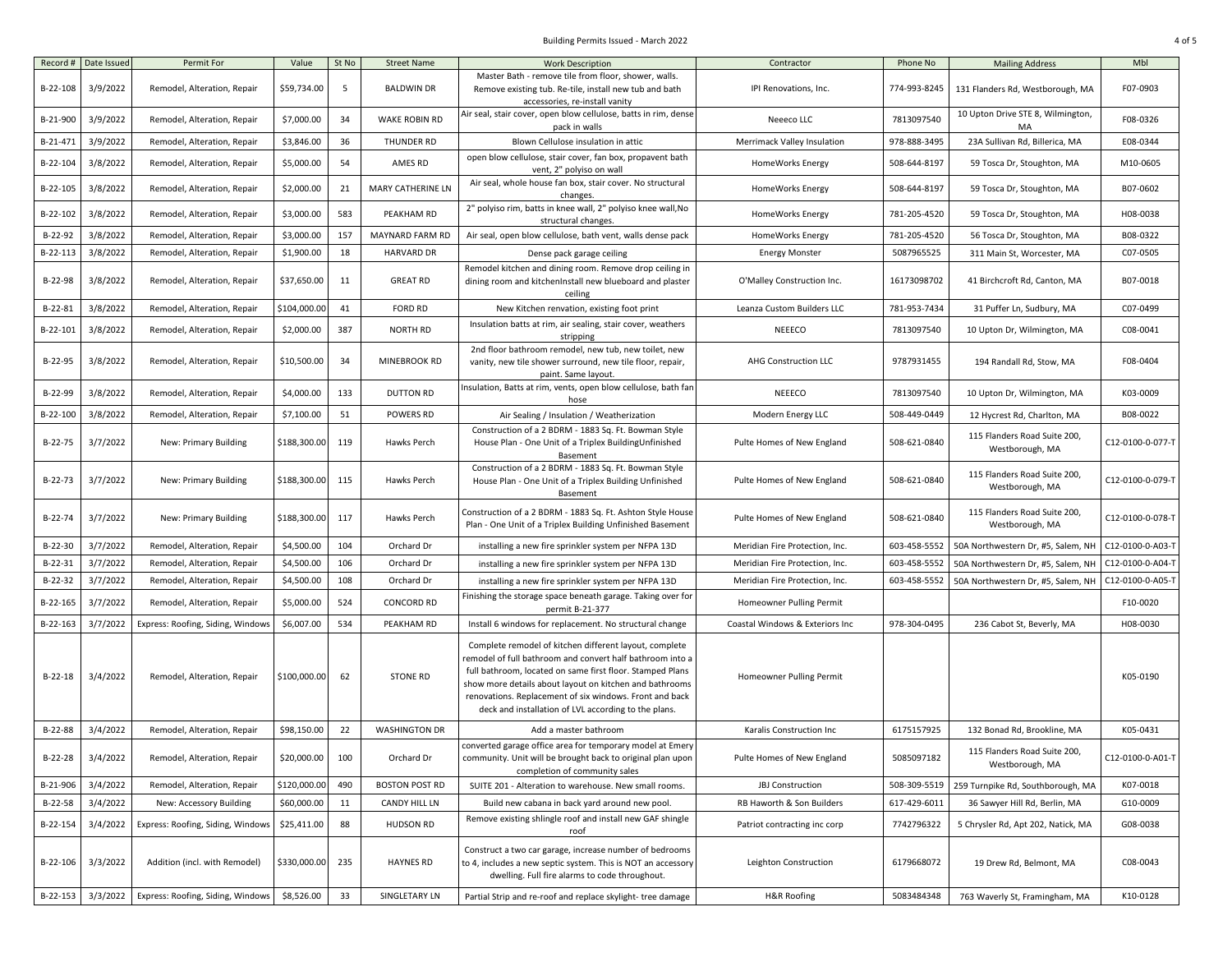## Building Permits Issued - March 2022 4 of 5

| Record #  | Date Issued | Permit For                        | Value           | St No | <b>Street Name</b>       | <b>Work Description</b><br>Master Bath - remove tile from floor, shower, walls.                                                                                                                                                                                                                                                                                | Contractor                      | Phone No     | <b>Mailing Address</b>                          | Mbl              |
|-----------|-------------|-----------------------------------|-----------------|-------|--------------------------|----------------------------------------------------------------------------------------------------------------------------------------------------------------------------------------------------------------------------------------------------------------------------------------------------------------------------------------------------------------|---------------------------------|--------------|-------------------------------------------------|------------------|
| B-22-108  | 3/9/2022    | Remodel, Alteration, Repair       | \$59,734.00     | 5     | <b>BALDWIN DR</b>        | Remove existing tub. Re-tile, install new tub and bath<br>accessories, re-install vanity                                                                                                                                                                                                                                                                       | IPI Renovations, Inc.           | 774-993-8245 | 131 Flanders Rd, Westborough, MA                | F07-0903         |
| B-21-900  | 3/9/2022    | Remodel, Alteration, Repair       | \$7,000.00      | 34    | WAKE ROBIN RD            | Air seal, stair cover, open blow cellulose, batts in rim, dense<br>pack in walls                                                                                                                                                                                                                                                                               | Neeeco LLC                      | 7813097540   | 10 Upton Drive STE 8, Wilmington,<br>MA         | F08-0326         |
| B-21-471  | 3/9/2022    | Remodel, Alteration, Repair       | \$3,846.00      | 36    | THUNDER RD               | Blown Cellulose insulation in attic                                                                                                                                                                                                                                                                                                                            | Merrimack Valley Insulation     | 978-888-3495 | 23A Sullivan Rd, Billerica, MA                  | E08-0344         |
| B-22-104  | 3/8/2022    | Remodel, Alteration, Repair       | \$5,000.00      | 54    | AMES RD                  | open blow cellulose, stair cover, fan box, propavent bath                                                                                                                                                                                                                                                                                                      | HomeWorks Energy                | 508-644-8197 | 59 Tosca Dr, Stoughton, MA                      | M10-0605         |
|           |             |                                   |                 |       |                          | vent, 2" polyiso on wall<br>Air seal, whole house fan box, stair cover. No structural                                                                                                                                                                                                                                                                          |                                 |              |                                                 |                  |
| B-22-105  | 3/8/2022    | Remodel, Alteration, Repair       | \$2,000.00      | 21    | <b>MARY CATHERINE LN</b> | changes.                                                                                                                                                                                                                                                                                                                                                       | HomeWorks Energy                | 508-644-8197 | 59 Tosca Dr, Stoughton, MA                      | B07-0602         |
| B-22-102  | 3/8/2022    | Remodel, Alteration, Repair       | \$3,000.00      | 583   | PEAKHAM RD               | 2" polyiso rim, batts in knee wall, 2" polyiso knee wall, No<br>structural changes.                                                                                                                                                                                                                                                                            | <b>HomeWorks Energy</b>         | 781-205-4520 | 59 Tosca Dr, Stoughton, MA                      | H08-0038         |
| B-22-92   | 3/8/2022    | Remodel, Alteration, Repair       | \$3,000.00      | 157   | MAYNARD FARM RD          | Air seal, open blow cellulose, bath vent, walls dense pack                                                                                                                                                                                                                                                                                                     | HomeWorks Energy                | 781-205-4520 | 56 Tosca Dr, Stoughton, MA                      | B08-0322         |
| B-22-113  | 3/8/2022    | Remodel, Alteration, Repair       | \$1,900.00      | 18    | <b>HARVARD DR</b>        | Dense pack garage ceiling                                                                                                                                                                                                                                                                                                                                      | <b>Energy Monster</b>           | 5087965525   | 311 Main St, Worcester, MA                      | C07-0505         |
| B-22-98   | 3/8/2022    | Remodel, Alteration, Repair       | \$37,650.00     | 11    | <b>GREAT RD</b>          | Remodel kitchen and dining room. Remove drop ceiling in<br>dining room and kitchenInstall new blueboard and plaster<br>ceiling                                                                                                                                                                                                                                 | O'Malley Construction Inc.      | 16173098702  | 41 Birchcroft Rd, Canton, MA                    | B07-0018         |
| $B-22-81$ | 3/8/2022    | Remodel, Alteration, Repair       | \$104,000.00    | 41    | <b>FORD RD</b>           | New Kitchen renvation, existing foot print                                                                                                                                                                                                                                                                                                                     | Leanza Custom Builders LLC      | 781-953-7434 | 31 Puffer Ln, Sudbury, MA                       | C07-0499         |
| B-22-101  | 3/8/2022    | Remodel, Alteration, Repair       | \$2,000.00      | 387   | NORTH RD                 | Insulation batts at rim, air sealing, stair cover, weathers<br>stripping                                                                                                                                                                                                                                                                                       | NEEECO                          | 7813097540   | 10 Upton Dr, Wilmington, MA                     | C08-0041         |
| B-22-95   | 3/8/2022    | Remodel, Alteration, Repair       | \$10,500.00     | 34    | MINEBROOK RD             | 2nd floor bathroom remodel, new tub, new toilet, new<br>vanity, new tile shower surround, new tile floor, repair,<br>paint. Same layout.                                                                                                                                                                                                                       | <b>AHG Construction LLC</b>     | 9787931455   | 194 Randall Rd, Stow, MA                        | F08-0404         |
| B-22-99   | 3/8/2022    | Remodel, Alteration, Repair       | \$4,000.00      | 133   | <b>DUTTON RD</b>         | Insulation, Batts at rim, vents, open blow cellulose, bath fan<br>hose                                                                                                                                                                                                                                                                                         | NEEECO                          | 7813097540   | 10 Upton Dr, Wilmington, MA                     | K03-0009         |
| B-22-100  | 3/8/2022    | Remodel, Alteration, Repair       | \$7,100.00      | 51    | POWERS RD                | Air Sealing / Insulation / Weatherization                                                                                                                                                                                                                                                                                                                      | Modern Energy LLC               | 508-449-0449 | 12 Hycrest Rd, Charlton, MA                     | B08-0022         |
| B-22-75   | 3/7/2022    | New: Primary Building             | \$188,300.00    | 119   | Hawks Perch              | Construction of a 2 BDRM - 1883 Sq. Ft. Bowman Style<br>House Plan - One Unit of a Triplex BuildingUnfinished<br>Basement                                                                                                                                                                                                                                      | Pulte Homes of New England      | 508-621-0840 | 115 Flanders Road Suite 200,<br>Westborough, MA | C12-0100-0-077-T |
| B-22-73   | 3/7/2022    | New: Primary Building             | \$188,300.00    | 115   | Hawks Perch              | Construction of a 2 BDRM - 1883 Sq. Ft. Bowman Style<br>House Plan - One Unit of a Triplex Building Unfinished<br>Basement                                                                                                                                                                                                                                     | Pulte Homes of New England      | 508-621-0840 | 115 Flanders Road Suite 200,<br>Westborough, MA | C12-0100-0-079-T |
| $B-22-74$ | 3/7/2022    | New: Primary Building             | \$188,300.00    | 117   | Hawks Perch              | Construction of a 2 BDRM - 1883 Sq. Ft. Ashton Style House<br>Plan - One Unit of a Triplex Building Unfinished Basement                                                                                                                                                                                                                                        | Pulte Homes of New England      | 508-621-0840 | 115 Flanders Road Suite 200,<br>Westborough, MA | C12-0100-0-078-T |
| $B-22-30$ | 3/7/2022    | Remodel, Alteration, Repair       | \$4,500.00      | 104   | Orchard Dr               | installing a new fire sprinkler system per NFPA 13D                                                                                                                                                                                                                                                                                                            | Meridian Fire Protection, Inc.  | 603-458-5552 | 50A Northwestern Dr, #5, Salem, NI              | C12-0100-0-A03-T |
| $B-22-31$ | 3/7/2022    | Remodel, Alteration, Repair       | \$4,500.00      | 106   | Orchard Dr               | installing a new fire sprinkler system per NFPA 13D                                                                                                                                                                                                                                                                                                            | Meridian Fire Protection, Inc.  | 603-458-555  | 50A Northwestern Dr, #5, Salem, NH              | C12-0100-0-A04-T |
| $B-22-32$ | 3/7/2022    | Remodel, Alteration, Repair       | \$4,500.00      | 108   | Orchard Dr               | installing a new fire sprinkler system per NFPA 13D                                                                                                                                                                                                                                                                                                            | Meridian Fire Protection, Inc.  | 603-458-5552 | 50A Northwestern Dr, #5, Salem, NH              | C12-0100-0-A05-T |
| B-22-165  | 3/7/2022    | Remodel, Alteration, Repair       | \$5,000.00      | 524   | <b>CONCORD RD</b>        | Finishing the storage space beneath garage. Taking over for<br>permit B-21-377                                                                                                                                                                                                                                                                                 | Homeowner Pulling Permit        |              |                                                 | F10-0020         |
| B-22-163  | 3/7/2022    | Express: Roofing, Siding, Windows | \$6,007.00      | 534   | PEAKHAM RD               | Install 6 windows for replacement. No structural change                                                                                                                                                                                                                                                                                                        | Coastal Windows & Exteriors Inc | 978-304-0495 | 236 Cabot St, Beverly, MA                       | H08-0030         |
| $B-22-18$ | 3/4/2022    | Remodel, Alteration, Repair       | \$100,000.00    | 62    | <b>STONE RD</b>          | Complete remodel of kitchen different layout, complete<br>remodel of full bathroom and convert half bathroom into a<br>full bathroom, located on same first floor. Stamped Plans<br>show more details about layout on kitchen and bathrooms<br>renovations. Replacement of six windows. Front and back<br>deck and installation of LVL according to the plans. | Homeowner Pulling Permit        |              |                                                 | K05-0190         |
| B-22-88   | 3/4/2022    | Remodel, Alteration, Repair       | \$98,150.00     | 22    | <b>WASHINGTON DR</b>     | Add a master bathroom                                                                                                                                                                                                                                                                                                                                          | Karalis Construction Inc        | 6175157925   | 132 Bonad Rd, Brookline, MA                     | K05-0431         |
| B-22-28   | 3/4/2022    | Remodel, Alteration, Repair       | \$20,000.00 100 |       | Orchard Dr               | converted garage office area for temporary model at Emery<br>community. Unit will be brought back to original plan upon<br>completion of community sales                                                                                                                                                                                                       | Pulte Homes of New England      | 5085097182   | 115 Flanders Road Suite 200,<br>Westborough, MA | C12-0100-0-A01-T |
| B-21-906  | 3/4/2022    | Remodel, Alteration, Repair       | \$120,000.00    | 490   | <b>BOSTON POST RD</b>    | SUITE 201 - Alteration to warehouse. New small rooms.                                                                                                                                                                                                                                                                                                          | JBJ Construction                | 508-309-5519 | 259 Turnpike Rd, Southborough, MA               | K07-0018         |
| B-22-58   | 3/4/2022    | New: Accessory Building           | \$60,000.00     | 11    | CANDY HILL LN            | Build new cabana in back yard around new pool.                                                                                                                                                                                                                                                                                                                 | RB Haworth & Son Builders       | 617-429-6011 | 36 Sawyer Hill Rd, Berlin, MA                   | G10-0009         |
| B-22-154  | 3/4/2022    | Express: Roofing, Siding, Windows | \$25,411.00     | 88    | <b>HUDSON RD</b>         | Remove existing shlingle roof and install new GAF shingle<br>roof                                                                                                                                                                                                                                                                                              | Patriot contracting inc corp    | 7742796322   | 5 Chrysler Rd, Apt 202, Natick, MA              | G08-0038         |
| B-22-106  | 3/3/2022    | Addition (incl. with Remodel)     | \$330,000.00    | 235   | <b>HAYNES RD</b>         | Construct a two car garage, increase number of bedrooms<br>to 4, includes a new septic system. This is NOT an accessory<br>dwelling. Full fire alarms to code throughout.                                                                                                                                                                                      | Leighton Construction           | 6179668072   | 19 Drew Rd, Belmont, MA                         | C08-0043         |
| B-22-153  | 3/3/2022    | Express: Roofing, Siding, Windows | \$8,526.00      | 33    | SINGLETARY LN            | Partial Strip and re-roof and replace skylight- tree damage                                                                                                                                                                                                                                                                                                    | <b>H&amp;R Roofing</b>          | 5083484348   | 763 Waverly St, Framingham, MA                  | K10-0128         |